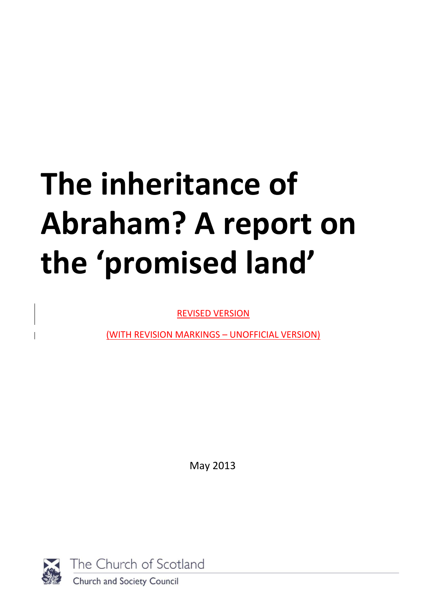# **The inheritance of Abraham? A report on the 'promised land'**

REVISED VERSION

(WITH REVISION MARKINGS – UNOFFICIAL VERSION)

May 2013

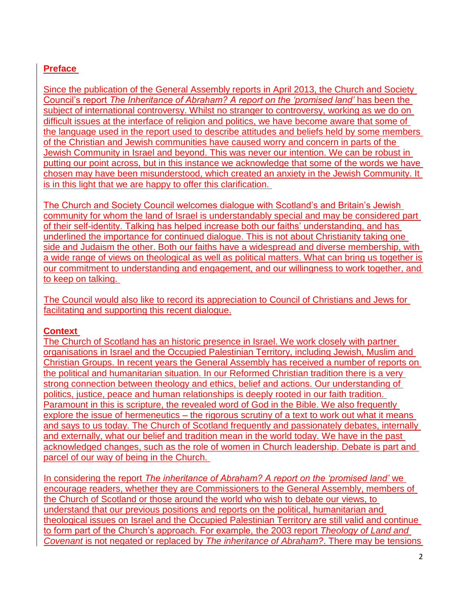## **Preface**

Since the publication of the General Assembly reports in April 2013, the Church and Society Council's report *The Inheritance of Abraham? A report on the 'promised land'* has been the subject of international controversy. Whilst no stranger to controversy, working as we do on difficult issues at the interface of religion and politics, we have become aware that some of the language used in the report used to describe attitudes and beliefs held by some members of the Christian and Jewish communities have caused worry and concern in parts of the Jewish Community in Israel and beyond. This was never our intention. We can be robust in putting our point across, but in this instance we acknowledge that some of the words we have chosen may have been misunderstood, which created an anxiety in the Jewish Community. It is in this light that we are happy to offer this clarification.

The Church and Society Council welcomes dialogue with Scotland's and Britain's Jewish community for whom the land of Israel is understandably special and may be considered part of their self-identity. Talking has helped increase both our faiths' understanding, and has underlined the importance for continued dialogue. This is not about Christianity taking one side and Judaism the other. Both our faiths have a widespread and diverse membership, with a wide range of views on theological as well as political matters. What can bring us together is our commitment to understanding and engagement, and our willingness to work together, and to keep on talking.

The Council would also like to record its appreciation to Council of Christians and Jews for facilitating and supporting this recent dialogue.

## **Context**

The Church of Scotland has an historic presence in Israel. We work closely with partner organisations in Israel and the Occupied Palestinian Territory, including Jewish, Muslim and Christian Groups. In recent years the General Assembly has received a number of reports on the political and humanitarian situation. In our Reformed Christian tradition there is a very strong connection between theology and ethics, belief and actions. Our understanding of politics, justice, peace and human relationships is deeply rooted in our faith tradition. Paramount in this is scripture, the revealed word of God in the Bible. We also frequently explore the issue of hermeneutics – the rigorous scrutiny of a text to work out what it means and says to us today. The Church of Scotland frequently and passionately debates, internally and externally, what our belief and tradition mean in the world today. We have in the past acknowledged changes, such as the role of women in Church leadership. Debate is part and parcel of our way of being in the Church.

In considering the report *The inheritance of Abraham? A report on the 'promised land'* we encourage readers, whether they are Commissioners to the General Assembly, members of the Church of Scotland or those around the world who wish to debate our views, to understand that our previous positions and reports on the political, humanitarian and theological issues on Israel and the Occupied Palestinian Territory are still valid and continue to form part of the Church's approach. For example, the 2003 report *Theology of Land and Covenant* is not negated or replaced by *The inheritance of Abraham?*. There may be tensions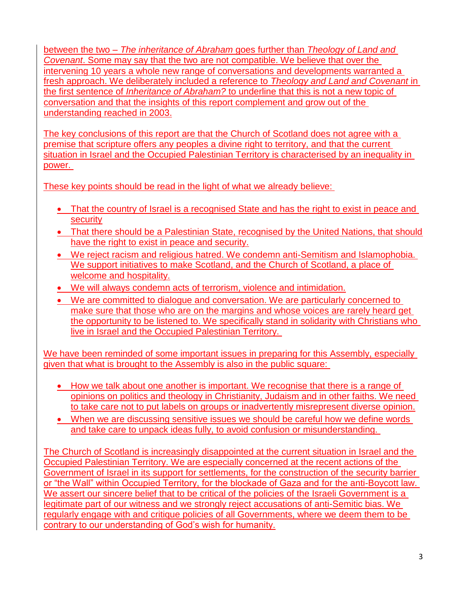between the two – *The inheritance of Abraham* goes further than *Theology of Land and Covenant*. Some may say that the two are not compatible. We believe that over the intervening 10 years a whole new range of conversations and developments warranted a fresh approach. We deliberately included a reference to *Theology and Land and Covenant* in the first sentence of *Inheritance of Abraham?* to underline that this is not a new topic of conversation and that the insights of this report complement and grow out of the understanding reached in 2003.

The key conclusions of this report are that the Church of Scotland does not agree with a premise that scripture offers any peoples a divine right to territory, and that the current situation in Israel and the Occupied Palestinian Territory is characterised by an inequality in power.

These key points should be read in the light of what we already believe:

- That the country of Israel is a recognised State and has the right to exist in peace and security
- That there should be a Palestinian State, recognised by the United Nations, that should have the right to exist in peace and security.
- We reject racism and religious hatred. We condemn anti-Semitism and Islamophobia. We support initiatives to make Scotland, and the Church of Scotland, a place of welcome and hospitality.
- We will always condemn acts of terrorism, violence and intimidation.
- We are committed to dialogue and conversation. We are particularly concerned to make sure that those who are on the margins and whose voices are rarely heard get the opportunity to be listened to. We specifically stand in solidarity with Christians who live in Israel and the Occupied Palestinian Territory.

We have been reminded of some important issues in preparing for this Assembly, especially given that what is brought to the Assembly is also in the public square:

- How we talk about one another is important. We recognise that there is a range of opinions on politics and theology in Christianity, Judaism and in other faiths. We need to take care not to put labels on groups or inadvertently misrepresent diverse opinion.
- When we are discussing sensitive issues we should be careful how we define words and take care to unpack ideas fully, to avoid confusion or misunderstanding.

The Church of Scotland is increasingly disappointed at the current situation in Israel and the Occupied Palestinian Territory. We are especially concerned at the recent actions of the Government of Israel in its support for settlements, for the construction of the security barrier or "the Wall" within Occupied Territory, for the blockade of Gaza and for the anti-Boycott law. We assert our sincere belief that to be critical of the policies of the Israeli Government is a legitimate part of our witness and we strongly reject accusations of anti-Semitic bias. We regularly engage with and critique policies of all Governments, where we deem them to be contrary to our understanding of God's wish for humanity.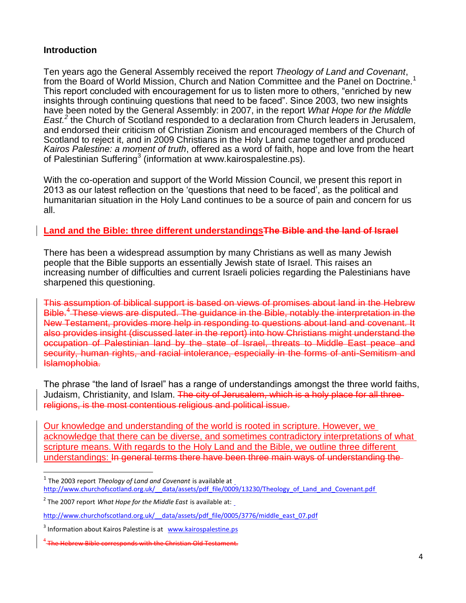#### **Introduction**

Ten years ago the General Assembly received the report *Theology of Land and Covenant*, from the Board of World Mission, Church and Nation Committee and the Panel on Doctrine.<sup>1</sup> This report concluded with encouragement for us to listen more to others, "enriched by new insights through continuing questions that need to be faced". Since 2003, two new insights have been noted by the General Assembly: in 2007, in the report *What Hope for the Middle East.<sup>2</sup>* the Church of Scotland responded to a declaration from Church leaders in Jerusalem, and endorsed their criticism of Christian Zionism and encouraged members of the Church of Scotland to reject it, and in 2009 Christians in the Holy Land came together and produced *Kairos Palestine: a moment of truth*, offered as a word of faith, hope and love from the heart of Palestinian Suffering<sup>3</sup> (information at www.kairospalestine.ps).

With the co-operation and support of the World Mission Council, we present this report in 2013 as our latest reflection on the 'questions that need to be faced', as the political and humanitarian situation in the Holy Land continues to be a source of pain and concern for us all.

#### **Land and the Bible: three different understandingsThe Bible and the land of Israel**

There has been a widespread assumption by many Christians as well as many Jewish people that the Bible supports an essentially Jewish state of Israel. This raises an increasing number of difficulties and current Israeli policies regarding the Palestinians have sharpened this questioning.

This assumption of biblical support is based on views of promises about land in the Hebrew Bible.<sup>4</sup> These views are disputed. The guidance in the Bible, notably the interpretation in the New Testament, provides more help in responding to questions about land and covenant. It also provides insight (discussed later in the report) into how Christians might understand the occupation of Palestinian land by the state of Israel, threats to Middle East peace and security, human rights, and racial intolerance, especially in the forms of anti-Semitism and Islamophobia.

The phrase "the land of Israel" has a range of understandings amongst the three world faiths, Judaism, Christianity, and Islam. The city of Jerusalem, which is a holy place for all three religions, is the most contentious religious and political issue.

Our knowledge and understanding of the world is rooted in scripture. However, we acknowledge that there can be diverse, and sometimes contradictory interpretations of what scripture means. With regards to the Holy Land and the Bible, we outline three different understandings: In general terms there have been three main ways of understanding the

 $\overline{a}$ 

<sup>1</sup> The 2003 report *Theology of Land and Covenant* is available at http://www.churchofscotland.org.uk/data/assets/pdf file/0009/13230/Theology of Land and Covenant.pdf

<sup>2</sup> The 2007 report *What Hope for the Middle East* is available at:

http://www.churchofscotland.org.uk/ data/assets/pdf file/0005/3776/middle east\_07.pdf

<sup>&</sup>lt;sup>3</sup> Information about Kairos Palestine is at [www.kairospalestine.ps](http://www.kairospalestine.ps/)

<sup>&</sup>lt;sup>4</sup> The Hebrew Bible corresponds with the Christian Old Testament.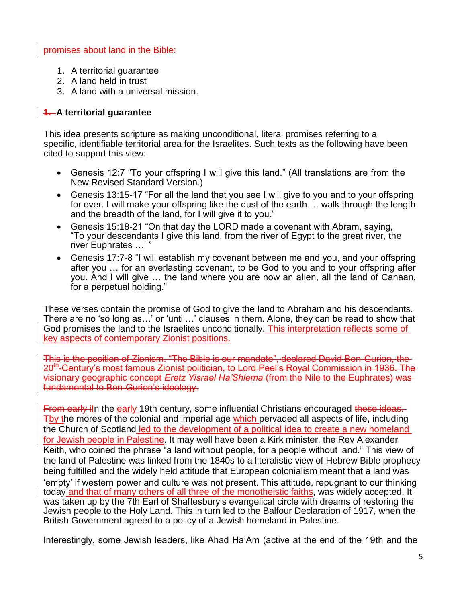#### promises about land in the Bible:

- 1. A territorial guarantee
- 2. A land held in trust
- 3. A land with a universal mission.

## **1. A territorial guarantee**

This idea presents scripture as making unconditional, literal promises referring to a specific, identifiable territorial area for the Israelites. Such texts as the following have been cited to support this view:

- Genesis 12:7 "To your offspring I will give this land." (All translations are from the New Revised Standard Version.)
- Genesis 13:15-17 "For all the land that you see I will give to you and to your offspring for ever. I will make your offspring like the dust of the earth … walk through the length and the breadth of the land, for I will give it to you."
- Genesis 15:18-21 "On that day the LORD made a covenant with Abram, saying, "To your descendants I give this land, from the river of Egypt to the great river, the river Euphrates …' "
- Genesis 17:7-8 "I will establish my covenant between me and you, and your offspring after you … for an everlasting covenant, to be God to you and to your offspring after you. And I will give … the land where you are now an alien, all the land of Canaan, for a perpetual holding."

These verses contain the promise of God to give the land to Abraham and his descendants. There are no 'so long as…' or 'until…' clauses in them. Alone, they can be read to show that God promises the land to the Israelites unconditionally. This interpretation reflects some of key aspects of contemporary Zionist positions.

This is the position of Zionism. "The Bible is our mandate", declared David Ben-Gurion, the 20<sup>th</sup>-Century's most famous Zionist politician, to Lord Peel's Royal Commission in 1936. The visionary geographic concept *Eretz Yisrael Ha'Shlema* (from the Nile to the Euphrates) was fundamental to Ben-Gurion's ideology.

From early ion the early 19th century, some influential Christians encouraged these ideas. Tby the mores of the colonial and imperial age which pervaded all aspects of life, including the Church of Scotland led to the development of a political idea to create a new homeland for Jewish people in Palestine. It may well have been a Kirk minister, the Rev Alexander Keith, who coined the phrase "a land without people, for a people without land." This view of the land of Palestine was linked from the 1840s to a literalistic view of Hebrew Bible prophecy being fulfilled and the widely held attitude that European colonialism meant that a land was 'empty' if western power and culture was not present. This attitude, repugnant to our thinking today and that of many others of all three of the monotheistic faiths, was widely accepted. It was taken up by the 7th Earl of Shaftesbury's evangelical circle with dreams of restoring the Jewish people to the Holy Land. This in turn led to the Balfour Declaration of 1917, when the British Government agreed to a policy of a Jewish homeland in Palestine.

Interestingly, some Jewish leaders, like Ahad Ha'Am (active at the end of the 19th and the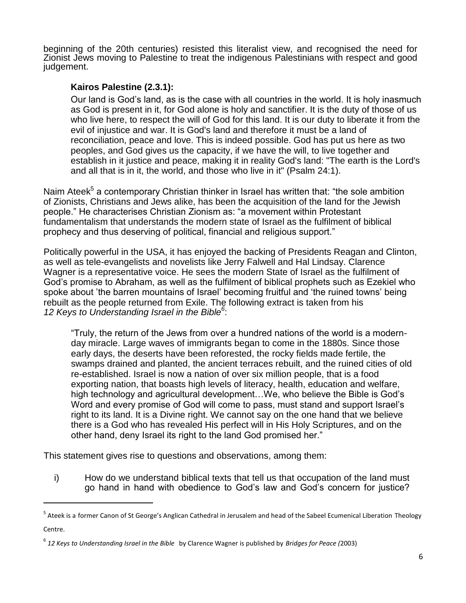beginning of the 20th centuries) resisted this literalist view, and recognised the need for Zionist Jews moving to Palestine to treat the indigenous Palestinians with respect and good judgement.

#### **Kairos Palestine (2.3.1):**

Our land is God's land, as is the case with all countries in the world. It is holy inasmuch as God is present in it, for God alone is holy and sanctifier. It is the duty of those of us who live here, to respect the will of God for this land. It is our duty to liberate it from the evil of injustice and war. It is God's land and therefore it must be a land of reconciliation, peace and love. This is indeed possible. God has put us here as two peoples, and God gives us the capacity, if we have the will, to live together and establish in it justice and peace, making it in reality God's land: "The earth is the Lord's and all that is in it, the world, and those who live in it" (Psalm 24:1).

Naim Ateek<sup>5</sup> a contemporary Christian thinker in Israel has written that: "the sole ambition of Zionists, Christians and Jews alike, has been the acquisition of the land for the Jewish people." He characterises Christian Zionism as: "a movement within Protestant fundamentalism that understands the modern state of Israel as the fulfilment of biblical prophecy and thus deserving of political, financial and religious support."

Politically powerful in the USA, it has enjoyed the backing of Presidents Reagan and Clinton, as well as tele-evangelists and novelists like Jerry Falwell and Hal Lindsay. Clarence Wagner is a representative voice. He sees the modern State of Israel as the fulfilment of God's promise to Abraham, as well as the fulfilment of biblical prophets such as Ezekiel who spoke about 'the barren mountains of Israel' becoming fruitful and 'the ruined towns' being rebuilt as the people returned from Exile. The following extract is taken from his *12 Keys to Understanding Israel in the Bible<sup>6</sup>* :

"Truly, the return of the Jews from over a hundred nations of the world is a modernday miracle. Large waves of immigrants began to come in the 1880s. Since those early days, the deserts have been reforested, the rocky fields made fertile, the swamps drained and planted, the ancient terraces rebuilt, and the ruined cities of old re-established. Israel is now a nation of over six million people, that is a food exporting nation, that boasts high levels of literacy, health, education and welfare, high technology and agricultural development…We, who believe the Bible is God's Word and every promise of God will come to pass, must stand and support Israel's right to its land. It is a Divine right. We cannot say on the one hand that we believe there is a God who has revealed His perfect will in His Holy Scriptures, and on the other hand, deny Israel its right to the land God promised her."

This statement gives rise to questions and observations, among them:

l

i) How do we understand biblical texts that tell us that occupation of the land must go hand in hand with obedience to God's law and God's concern for justice?

<sup>&</sup>lt;sup>5</sup> Ateek is a former Canon of St George's Anglican Cathedral in Jerusalem and head of the Sabeel Ecumenical Liberation Theology Centre.

<sup>6</sup> *12 Keys to Understanding Israel in the Bible* by Clarence Wagner is published by *Bridges for Peace (*2003)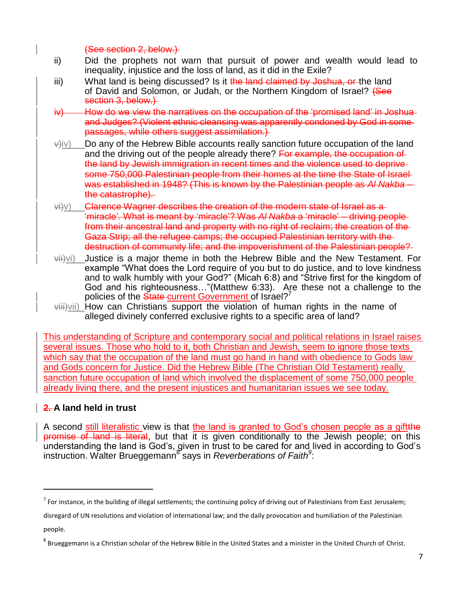(See section 2, below.)

- ii) Did the prophets not warn that pursuit of power and wealth would lead to inequality, injustice and the loss of land, as it did in the Exile?
- iii) What land is being discussed? Is it the land claimed by Joshua, or the land of David and Solomon, or Judah, or the Northern Kingdom of Israel? (See section 3, below.)
- iv) How do we view the narratives on the occupation of the 'promised land' in Joshua and Judges? (Violent ethnic cleansing was apparently condoned by God in somepassages, while others suggest assimilation.)
- $\forall$ iv) Do any of the Hebrew Bible accounts really sanction future occupation of the land and the driving out of the people already there? For example, the occupation of the land by Jewish immigration in recent times and the violence used to deprive some 750,000 Palestinian people from their homes at the time the State of Israel was established in 1948? (This is known by the Palestinian people as *Al Nakba* – the catastrophe).
- $\langle \psi | \psi \rangle$  Clarence Wagner describes the creation of the modern state of Israel as a 'miracle'. What is meant by 'miracle'? Was *Al Nakba* a 'miracle' – driving people from their ancestral land and property with no right of reclaim; the creation of the Gaza Strip; all the refugee camps; the occupied Palestinian territory with the destruction of community life; and the impoverishment of the Palestinian people?
- vii)vi) Justice is a major theme in both the Hebrew Bible and the New Testament. For example "What does the Lord require of you but to do justice, and to love kindness and to walk humbly with your God?" (Micah 6:8) and "Strive first for the kingdom of God and his righteousness…"(Matthew 6:33). Are these not a challenge to the policies of the State-current Government of Israel?<sup>7</sup>
- $\forall$ iii $\exists$  viii) How can Christians support the violation of human rights in the name of alleged divinely conferred exclusive rights to a specific area of land?

This understanding of Scripture and contemporary social and political relations in Israel raises several issues. Those who hold to it, both Christian and Jewish, seem to ignore those texts which say that the occupation of the land must go hand in hand with obedience to Gods law and Gods concern for Justice. Did the Hebrew Bible (The Christian Old Testament) really sanction future occupation of land which involved the displacement of some 750,000 people already living there, and the present injustices and humanitarian issues we see today.

## **2. A land held in trust**

l

A second still literalistic view is that the land is granted to God's chosen people as a giftthe promise of land is literal, but that it is given conditionally to the Jewish people; on this understanding the land is God's, given in trust to be cared for and lived in according to God's instruction. Walter Brueggemann<sup>8</sup> says in *Reverberations of Faith<sup>9</sup>:* 

 $^7$  For instance, in the building of illegal settlements; the continuing policy of driving out of Palestinians from East Jerusalem;

disregard of UN resolutions and violation of international law; and the daily provocation and humiliation of the Palestinian people.

 $^8$  Brueggemann is a Christian scholar of the Hebrew Bible in the United States and a minister in the United Church of Christ.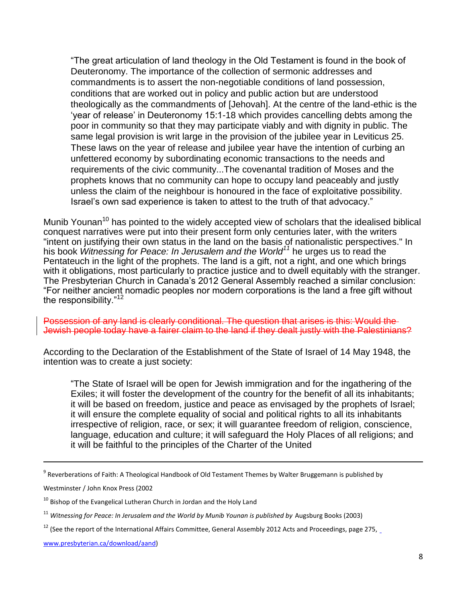"The great articulation of land theology in the Old Testament is found in the book of Deuteronomy. The importance of the collection of sermonic addresses and commandments is to assert the non-negotiable conditions of land possession, conditions that are worked out in policy and public action but are understood theologically as the commandments of [Jehovah]. At the centre of the land-ethic is the 'year of release' in Deuteronomy 15:1-18 which provides cancelling debts among the poor in community so that they may participate viably and with dignity in public. The same legal provision is writ large in the provision of the jubilee year in Leviticus 25. These laws on the year of release and jubilee year have the intention of curbing an unfettered economy by subordinating economic transactions to the needs and requirements of the civic community...The covenantal tradition of Moses and the prophets knows that no community can hope to occupy land peaceably and justly unless the claim of the neighbour is honoured in the face of exploitative possibility. Israel's own sad experience is taken to attest to the truth of that advocacy."

Munib Younan<sup>10</sup> has pointed to the widely accepted view of scholars that the idealised biblical conquest narratives were put into their present form only centuries later, with the writers "intent on justifying their own status in the land on the basis of nationalistic perspectives." In his book *Witnessing for Peace: In Jerusalem and the World<sup>11</sup>* he urges us to read the Pentateuch in the light of the prophets. The land is a gift, not a right, and one which brings with it obligations, most particularly to practice justice and to dwell equitably with the stranger. The Presbyterian Church in Canada's 2012 General Assembly reached a similar conclusion: "For neither ancient nomadic peoples nor modern corporations is the land a free gift without the responsibility."<sup>12</sup>

Possession of any land is clearly conditional. The question that arises is this: Would the Jewish people today have a fairer claim to the land if they dealt justly with the Palestinians?

According to the Declaration of the Establishment of the State of Israel of 14 May 1948, the intention was to create a just society:

"The State of Israel will be open for Jewish immigration and for the ingathering of the Exiles; it will foster the development of the country for the benefit of all its inhabitants; it will be based on freedom, justice and peace as envisaged by the prophets of Israel; it will ensure the complete equality of social and political rights to all its inhabitants irrespective of religion, race, or sex; it will guarantee freedom of religion, conscience, language, education and culture; it will safeguard the Holy Places of all religions; and it will be faithful to the principles of the Charter of the United

l

[www.presbyterian.ca/download/aand](http://www.presbyterian.ca/download/aand))

 $^9$  Reverberations of Faith: A Theological Handbook of Old Testament Themes by Walter Bruggemann is published by

Westminster / John Knox Press (2002

 $10<sup>10</sup>$  Bishop of the Evangelical Lutheran Church in Jordan and the Holy Land

<sup>11</sup> *Witnessing for Peace: In Jerusalem and the World by Munib Younan is published by* Augsburg Books (2003)

 $12$  (See the report of the International Affairs Committee, General Assembly 2012 Acts and Proceedings, page 275,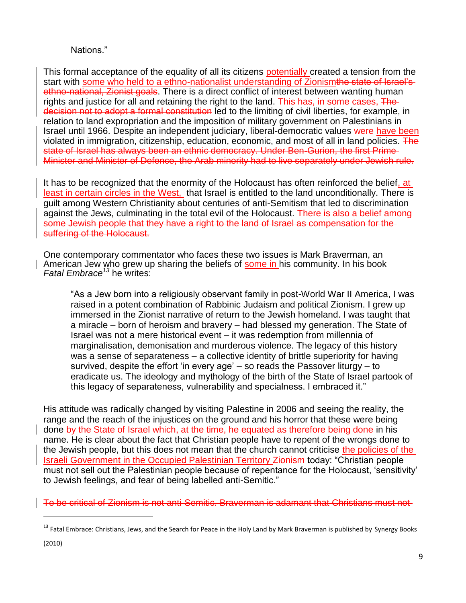## Nations."

This formal acceptance of the equality of all its citizens potentially created a tension from the start with some who held to a ethno-nationalist understanding of Zionismthe state of Israel's ethno-national, Zionist goals. There is a direct conflict of interest between wanting human rights and justice for all and retaining the right to the land. This has, in some cases, The decision not to adopt a formal constitution led to the limiting of civil liberties, for example, in relation to land expropriation and the imposition of military government on Palestinians in Israel until 1966. Despite an independent judiciary, liberal-democratic values were-have been violated in immigration, citizenship, education, economic, and most of all in land policies. The state of Israel has always been an ethnic democracy. Under Ben-Gurion, the first Prime-Minister and Minister of Defence, the Arab minority had to live separately under Jewish rule.

It has to be recognized that the enormity of the Holocaust has often reinforced the belief, at least in certain circles in the West, that Israel is entitled to the land unconditionally. There is guilt among Western Christianity about centuries of anti-Semitism that led to discrimination against the Jews, culminating in the total evil of the Holocaust. There is also a belief among some Jewish people that they have a right to the land of Israel as compensation for the suffering of the Holocaust.

One contemporary commentator who faces these two issues is Mark Braverman, an American Jew who grew up sharing the beliefs of some in his community. In his book *Fatal Embrace<sup>13</sup>* he writes:

"As a Jew born into a religiously observant family in post-World War II America, I was raised in a potent combination of Rabbinic Judaism and political Zionism. I grew up immersed in the Zionist narrative of return to the Jewish homeland. I was taught that a miracle – born of heroism and bravery – had blessed my generation. The State of Israel was not a mere historical event – it was redemption from millennia of marginalisation, demonisation and murderous violence. The legacy of this history was a sense of separateness – a collective identity of brittle superiority for having survived, despite the effort 'in every age' – so reads the Passover liturgy – to eradicate us. The ideology and mythology of the birth of the State of Israel partook of this legacy of separateness, vulnerability and specialness. I embraced it."

His attitude was radically changed by visiting Palestine in 2006 and seeing the reality, the range and the reach of the injustices on the ground and his horror that these were being done by the State of Israel which, at the time, he equated as therefore being done in his name. He is clear about the fact that Christian people have to repent of the wrongs done to the Jewish people, but this does not mean that the church cannot criticise the policies of the Israeli Government in the Occupied Palestinian Territory Zionism today: "Christian people must not sell out the Palestinian people because of repentance for the Holocaust, 'sensitivity' to Jewish feelings, and fear of being labelled anti-Semitic."

To be critical of Zionism is not anti-Semitic. Braverman is adamant that Christians must not

l

 $^{13}$  Fatal Embrace: Christians, Jews, and the Search for Peace in the Holy Land by Mark Braverman is published by Synergy Books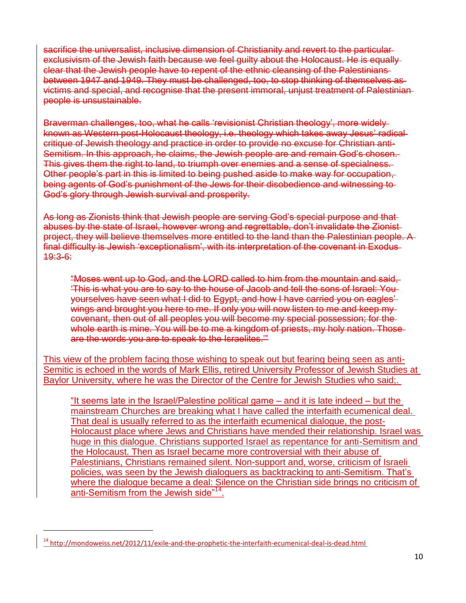sacrifice the universalist, inclusive dimension of Christianity and revert to the particularexclusivism of the Jewish faith because we feel quilty about the Holocaust. He is equally clear that the Jewish people have to repent of the ethnic cleansing of the Palestinians between 1947 and 1949. They must be challenged, too, to stop thinking of themselves as victims and special, and recognise that the present immoral, unjust treatment of Palestinian people is unsustainable.

Braverman challenges, too, what he calls 'revisionist Christian theology', more widely known as Western post-Holocaust theology, i.e. theology which takes away Jesus' radical critique of Jewish theology and practice in order to provide no excuse for Christian anti-Semitism. In this approach, he claims, the Jewish people are and remain God's chosen. This gives them the right to land, to triumph over enemies and a sense of specialness. Other people's part in this is limited to being pushed aside to make way for occupation, being agents of God's punishment of the Jews for their disobedience and witnessing to God's glory through Jewish survival and prosperity.

As long as Zionists think that Jewish people are serving God's special purpose and that abuses by the state of Israel, however wrong and regrettable, don't invalidate the Zionist project, they will believe themselves more entitled to the land than the Palestinian people. A final difficulty is Jewish 'exceptionalism', with its interpretation of the covenant in Exodus 19:3-6:

"Moses went up to God, and the LORD called to him from the mountain and said, 'This is what you are to say to the house of Jacob and tell the sons of Israel: You yourselves have seen what I did to Egypt, and how I have carried you on eagles' wings and brought you here to me. If only you will now listen to me and keep mycovenant, then out of all peoples you will become my special possession; for the whole earth is mine. You will be to me a kingdom of priests, my holy nation. Those are the words you are to speak to the Israelites.'"

This view of the problem facing those wishing to speak out but fearing being seen as anti-Semitic is echoed in the words of Mark Ellis, retired University Professor of Jewish Studies at Baylor University, where he was the Director of the Centre for Jewish Studies who said;.

"It seems late in the Israel/Palestine political game – and it is late indeed – but the mainstream Churches are breaking what I have called the interfaith ecumenical deal. That deal is usually referred to as the interfaith ecumenical dialogue, the post-Holocaust place where Jews and Christians have mended their relationship. Israel was huge in this dialogue. Christians supported Israel as repentance for anti-Semitism and the Holocaust. Then as Israel became more controversial with their abuse of Palestinians, Christians remained silent. Non-support and, worse, criticism of Israeli policies, was seen by the Jewish dialoguers as backtracking to anti-Semitism. That's where the dialogue became a deal: Silence on the Christian side brings no criticism of anti-Semitism from the Jewish side"<sup>14</sup>.

l

<sup>&</sup>lt;sup>14</sup> <http://mondoweiss.net/2012/11/exile-and-the-prophetic-the-interfaith-ecumenical-deal-is-dead.html>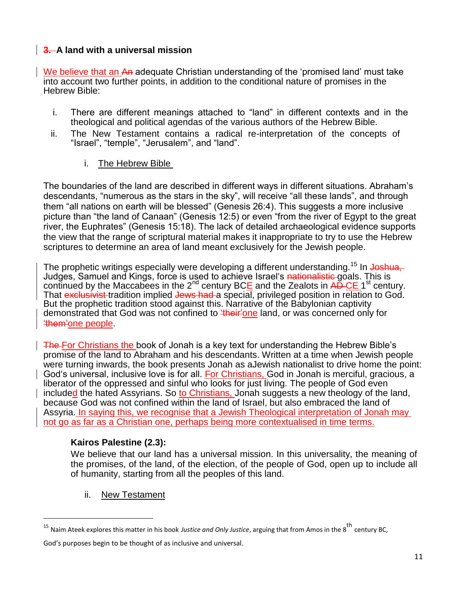## **3.** A land with a universal mission

We believe that an An adequate Christian understanding of the 'promised land' must take into account two further points, in addition to the conditional nature of promises in the Hebrew Bible:

- i. There are different meanings attached to "land" in different contexts and in the theological and political agendas of the various authors of the Hebrew Bible.
- ii. The New Testament contains a radical re-interpretation of the concepts of "Israel", "temple", "Jerusalem", and "land".
	- i. The Hebrew Bible

The boundaries of the land are described in different ways in different situations. Abraham's descendants, "numerous as the stars in the sky", will receive "all these lands", and through them "all nations on earth will be blessed" (Genesis 26:4). This suggests a more inclusive picture than "the land of Canaan" (Genesis 12:5) or even "from the river of Egypt to the great river, the Euphrates" (Genesis 15:18). The lack of detailed archaeological evidence supports the view that the range of scriptural material makes it inappropriate to try to use the Hebrew scriptures to determine an area of land meant exclusively for the Jewish people.

The prophetic writings especially were developing a different understanding.<sup>15</sup> In Joshua, Judges, Samuel and Kings, force is used to achieve Israel's nationalistic goals. This is continued by the Maccabees in the 2<sup>nd</sup> century BCE and the Zealots in  $\overrightarrow{AD}$  CE 1<sup>st</sup> century. That exclusivist tradition implied Jews had a special, privileged position in relation to God. But the prophetic tradition stood against this. Narrative of the Babylonian captivity demonstrated that God was not confined to *their'one* land, or was concerned only for 'them'one people.

The For Christians the book of Jonah is a key text for understanding the Hebrew Bible's promise of the land to Abraham and his descendants. Written at a time when Jewish people were turning inwards, the book presents Jonah as aJewish nationalist to drive home the point: God's universal, inclusive love is for all. For Christians, God in Jonah is merciful, gracious, a liberator of the oppressed and sinful who looks for just living. The people of God even included the hated Assyrians. So to Christians, Jonah suggests a new theology of the land, because God was not confined within the land of Israel, but also embraced the land of Assyria. In saying this, we recognise that a Jewish Theological interpretation of Jonah may not go as far as a Christian one, perhaps being more contextualised in time terms.

#### **Kairos Palestine (2.3):**

We believe that our land has a universal mission. In this universality, the meaning of the promises, of the land, of the election, of the people of God, open up to include all of humanity, starting from all the peoples of this land.

ii. New Testament

 $\overline{a}$ 

<sup>&</sup>lt;sup>15</sup> Naim Ateek explores this matter in his book *Justice and Only Justice*, arguing that from Amos in the 8<sup>th</sup> century BC,

God's purposes begin to be thought of as inclusive and universal.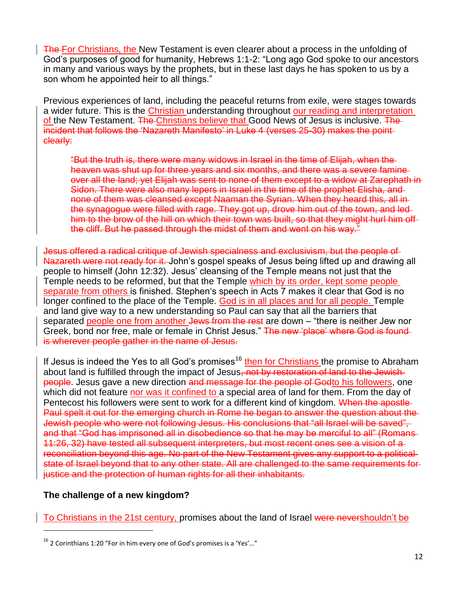The For Christians, the New Testament is even clearer about a process in the unfolding of God's purposes of good for humanity, Hebrews 1:1-2: "Long ago God spoke to our ancestors in many and various ways by the prophets, but in these last days he has spoken to us by a son whom he appointed heir to all things."

Previous experiences of land, including the peaceful returns from exile, were stages towards a wider future. This is the Christian understanding throughout our reading and interpretation of the New Testament. The Christians believe that Good News of Jesus is inclusive. The incident that follows the 'Nazareth Manifesto' in Luke 4 (verses 25-30) makes the point clearly:

"But the truth is, there were many widows in Israel in the time of Elijah, when the heaven was shut up for three years and six months, and there was a severe famine over all the land; yet Elijah was sent to none of them except to a widow at Zarephath in Sidon. There were also many lepers in Israel in the time of the prophet Elisha, and none of them was cleansed except Naaman the Syrian. When they heard this, all in the synagogue were filled with rage. They got up, drove him out of the town, and led him to the brow of the hill on which their town was built, so that they might hurl him off the cliff. But he passed through the midst of them and went on his way."

Jesus offered a radical critique of Jewish specialness and exclusivism, but the people of Nazareth were not ready for it. John's gospel speaks of Jesus being lifted up and drawing all people to himself (John 12:32). Jesus' cleansing of the Temple means not just that the Temple needs to be reformed, but that the Temple which by its order, kept some people separate from others is finished. Stephen's speech in Acts 7 makes it clear that God is no longer confined to the place of the Temple. God is in all places and for all people. Temple and land give way to a new understanding so Paul can say that all the barriers that separated people one from another Jews from the rest are down – "there is neither Jew nor Greek, bond nor free, male or female in Christ Jesus." The new 'place' where God is foundis wherever people gather in the name of Jesus.

If Jesus is indeed the Yes to all God's promises<sup>16</sup> then for Christians the promise to Abraham about land is fulfilled through the impact of Jesus, not by restoration of land to the Jewish people. Jesus gave a new direction and message for the people of Godto his followers, one which did not feature nor was it confined to a special area of land for them. From the day of Pentecost his followers were sent to work for a different kind of kingdom. When the apostle-Paul spelt it out for the emerging church in Rome he began to answer the question about the Jewish people who were not following Jesus. His conclusions that "all Israel will be saved", and that "God has imprisoned all in disobedience so that he may be merciful to all" (Romans 11:26, 32) have tested all subsequent interpreters, but most recent ones see a vision of a reconciliation beyond this age. No part of the New Testament gives any support to a political state of Israel beyond that to any other state. All are challenged to the same requirements for justice and the protection of human rights for all their inhabitants.

#### **The challenge of a new kingdom?**

l

To Christians in the 21st century, promises about the land of Israel were nevershouldn't be

 $16$  2 Corinthians 1:20 "For in him every one of God's promises is a 'Yes'..."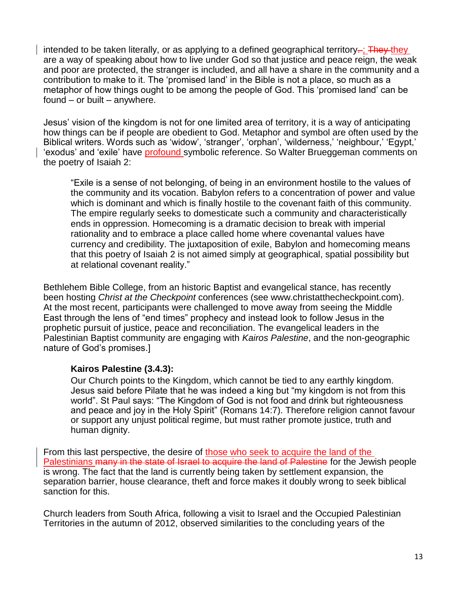intended to be taken literally, or as applying to a defined geographical territory $\pm$ : They they are a way of speaking about how to live under God so that justice and peace reign, the weak and poor are protected, the stranger is included, and all have a share in the community and a contribution to make to it. The 'promised land' in the Bible is not a place, so much as a metaphor of how things ought to be among the people of God. This 'promised land' can be found – or built – anywhere.

Jesus' vision of the kingdom is not for one limited area of territory, it is a way of anticipating how things can be if people are obedient to God. Metaphor and symbol are often used by the Biblical writers. Words such as 'widow', 'stranger', 'orphan', 'wilderness,' 'neighbour,' 'Egypt,' 'exodus' and 'exile' have profound symbolic reference. So Walter Brueggeman comments on the poetry of Isaiah 2:

"Exile is a sense of not belonging, of being in an environment hostile to the values of the community and its vocation. Babylon refers to a concentration of power and value which is dominant and which is finally hostile to the covenant faith of this community. The empire regularly seeks to domesticate such a community and characteristically ends in oppression. Homecoming is a dramatic decision to break with imperial rationality and to embrace a place called home where covenantal values have currency and credibility. The juxtaposition of exile, Babylon and homecoming means that this poetry of Isaiah 2 is not aimed simply at geographical, spatial possibility but at relational covenant reality."

Bethlehem Bible College, from an historic Baptist and evangelical stance, has recently been hosting *Christ at the Checkpoint* conferences (see www.christatthecheckpoint.com). At the most recent, participants were challenged to move away from seeing the Middle East through the lens of "end times" prophecy and instead look to follow Jesus in the prophetic pursuit of justice, peace and reconciliation. The evangelical leaders in the Palestinian Baptist community are engaging with *Kairos Palestine*, and the non-geographic nature of God's promises.]

#### **Kairos Palestine (3.4.3):**

Our Church points to the Kingdom, which cannot be tied to any earthly kingdom. Jesus said before Pilate that he was indeed a king but "my kingdom is not from this world". St Paul says: "The Kingdom of God is not food and drink but righteousness and peace and joy in the Holy Spirit" (Romans 14:7). Therefore religion cannot favour or support any unjust political regime, but must rather promote justice, truth and human dignity.

From this last perspective, the desire of those who seek to acquire the land of the Palestinians many in the state of Israel to acquire the land of Palestine for the Jewish people is wrong. The fact that the land is currently being taken by settlement expansion, the separation barrier, house clearance, theft and force makes it doubly wrong to seek biblical sanction for this.

Church leaders from South Africa, following a visit to Israel and the Occupied Palestinian Territories in the autumn of 2012, observed similarities to the concluding years of the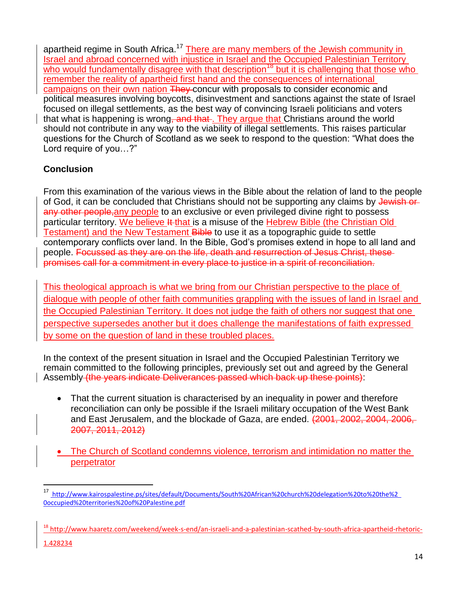apartheid regime in South Africa.<sup>17</sup> There are many members of the Jewish community in Israel and abroad concerned with injustice in Israel and the Occupied Palestinian Territory who would fundamentally disagree with that description<sup>18</sup> but it is challenging that those who remember the reality of apartheid first hand and the consequences of international campaigns on their own nation They concur with proposals to consider economic and political measures involving boycotts, disinvestment and sanctions against the state of Israel focused on illegal settlements, as the best way of convincing Israeli politicians and voters that what is happening is wrong, and that. They argue that Christians around the world should not contribute in any way to the viability of illegal settlements. This raises particular questions for the Church of Scotland as we seek to respond to the question: "What does the Lord require of you…?"

## **Conclusion**

 $\overline{\phantom{a}}$ 

From this examination of the various views in the Bible about the relation of land to the people of God, it can be concluded that Christians should not be supporting any claims by Jewish or any other people, any people to an exclusive or even privileged divine right to possess particular territory. We believe It that is a misuse of the Hebrew Bible (the Christian Old Testament) and the New Testament Bible to use it as a topographic guide to settle contemporary conflicts over land. In the Bible, God's promises extend in hope to all land and people. Focussed as they are on the life, death and resurrection of Jesus Christ, these promises call for a commitment in every place to justice in a spirit of reconciliation.

This theological approach is what we bring from our Christian perspective to the place of dialogue with people of other faith communities grappling with the issues of land in Israel and the Occupied Palestinian Territory. It does not judge the faith of others nor suggest that one perspective supersedes another but it does challenge the manifestations of faith expressed by some on the question of land in these troubled places.

In the context of the present situation in Israel and the Occupied Palestinian Territory we remain committed to the following principles, previously set out and agreed by the General Assembly (the years indicate Deliverances passed which back up these points):

- That the current situation is characterised by an inequality in power and therefore reconciliation can only be possible if the Israeli military occupation of the West Bank and East Jerusalem, and the blockade of Gaza, are ended,  $\left(2001, 2002, 2004, 2006, \right)$ 2007, 2011, 2012)
- The Church of Scotland condemns violence, terrorism and intimidation no matter the perpetrator

<sup>17</sup> [http://www.kairospalestine.ps/sites/default/Documents/South%20African%20church%20delegation%20to%20the%2](http://www.kairospalestine.ps/sites/default/Documents/South%20African%20church%20delegation%20to%20the%20occupied%20territories%20of%20Palestine.pdf)  [0occupied%20territories%20of%20Palestine.pdf](http://www.kairospalestine.ps/sites/default/Documents/South%20African%20church%20delegation%20to%20the%20occupied%20territories%20of%20Palestine.pdf)

<sup>&</sup>lt;sup>18</sup> http://www.haaretz.com/weekend/week-s-end/an-israeli-and-a-palestinian-scathed-by-south-africa-apartheid-rhetoric-1.428234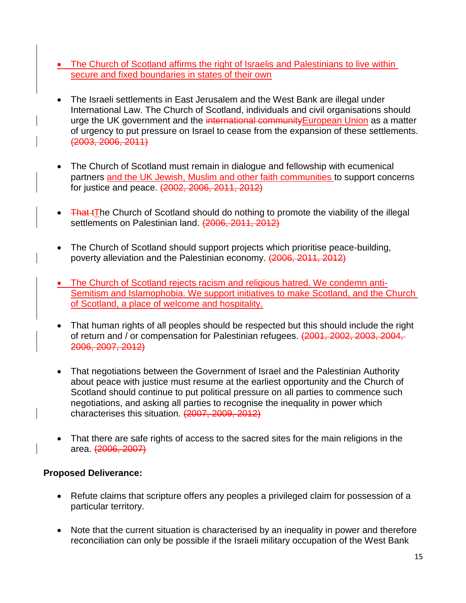- The Church of Scotland affirms the right of Israelis and Palestinians to live within secure and fixed boundaries in states of their own
- The Israeli settlements in East Jerusalem and the West Bank are illegal under International Law. The Church of Scotland, individuals and civil organisations should urge the UK government and the international community European Union as a matter of urgency to put pressure on Israel to cease from the expansion of these settlements. (2003, 2006, 2011)
- The Church of Scotland must remain in dialogue and fellowship with ecumenical partners and the UK Jewish, Muslim and other faith communities to support concerns for justice and peace. (2002, 2006, 2011, 2012)
- That iThe Church of Scotland should do nothing to promote the viability of the illegal settlements on Palestinian land. (2006, 2011, 2012)
- The Church of Scotland should support projects which prioritise peace-building, poverty alleviation and the Palestinian economy. (2006, 2011, 2012)
- The Church of Scotland rejects racism and religious hatred. We condemn anti-Semitism and Islamophobia. We support initiatives to make Scotland, and the Church of Scotland, a place of welcome and hospitality.
- That human rights of all peoples should be respected but this should include the right of return and / or compensation for Palestinian refugees. (2001, 2002, 2003, 2004, 2006, 2007, 2012)
- That negotiations between the Government of Israel and the Palestinian Authority about peace with justice must resume at the earliest opportunity and the Church of Scotland should continue to put political pressure on all parties to commence such negotiations, and asking all parties to recognise the inequality in power which characterises this situation. (2007, 2009, 2012)
- That there are safe rights of access to the sacred sites for the main religions in the area. (2006, 2007)

## **Proposed Deliverance:**

- Refute claims that scripture offers any peoples a privileged claim for possession of a particular territory.
- Note that the current situation is characterised by an inequality in power and therefore reconciliation can only be possible if the Israeli military occupation of the West Bank